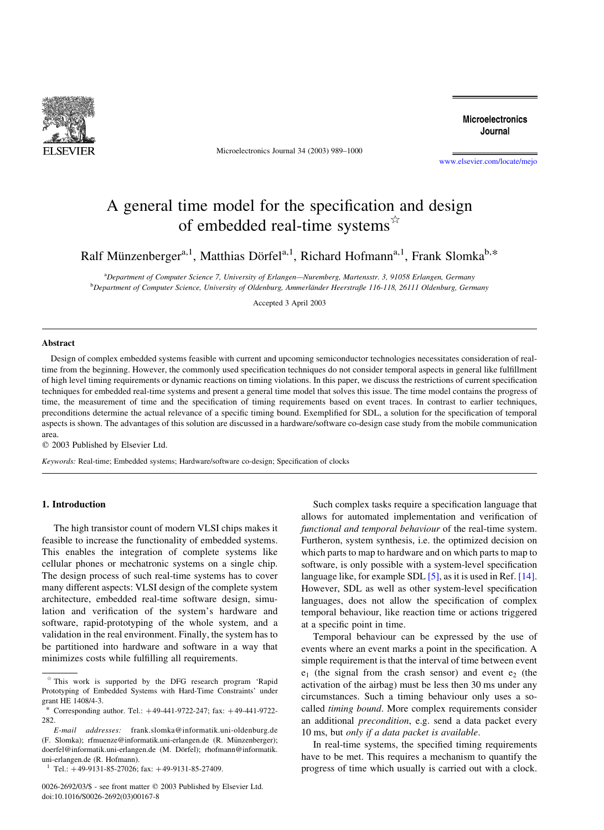

Microelectronics Journal 34 (2003) 989–1000

**Microelectronics** Journal

[www.elsevier.com/locate/mejo](http://www.elsevier.com/locate/mejo)

# A general time model for the specification and design of embedded real-time systems $\dot{\alpha}$

Ralf Münzenberger<sup>a,1</sup>, Matthias Dörfel<sup>a,1</sup>, Richard Hofmann<sup>a,1</sup>, Frank Slomka<sup>b,\*</sup>

a Department of Computer Science 7, University of Erlangen—Nuremberg, Martensstr. 3, 91058 Erlangen, Germany **b** Department of Computer Science, University of Oldenburg, Ammerländer Heerstraße 116-118, 26111 Oldenburg, Germany

Accepted 3 April 2003

#### Abstract

Design of complex embedded systems feasible with current and upcoming semiconductor technologies necessitates consideration of realtime from the beginning. However, the commonly used specification techniques do not consider temporal aspects in general like fulfillment of high level timing requirements or dynamic reactions on timing violations. In this paper, we discuss the restrictions of current specification techniques for embedded real-time systems and present a general time model that solves this issue. The time model contains the progress of time, the measurement of time and the specification of timing requirements based on event traces. In contrast to earlier techniques, preconditions determine the actual relevance of a specific timing bound. Exemplified for SDL, a solution for the specification of temporal aspects is shown. The advantages of this solution are discussed in a hardware/software co-design case study from the mobile communication area.

 $©$  2003 Published by Elsevier Ltd.

Keywords: Real-time; Embedded systems; Hardware/software co-design; Specification of clocks

### 1. Introduction

The high transistor count of modern VLSI chips makes it feasible to increase the functionality of embedded systems. This enables the integration of complete systems like cellular phones or mechatronic systems on a single chip. The design process of such real-time systems has to cover many different aspects: VLSI design of the complete system architecture, embedded real-time software design, simulation and verification of the system's hardware and software, rapid-prototyping of the whole system, and a validation in the real environment. Finally, the system has to be partitioned into hardware and software in a way that minimizes costs while fulfilling all requirements.

Such complex tasks require a specification language that allows for automated implementation and verification of functional and temporal behaviour of the real-time system. Furtheron, system synthesis, i.e. the optimized decision on which parts to map to hardware and on which parts to map to software, is only possible with a system-level specification language like, for example SDL [\[5\]](#page--1-0), as it is used in Ref. [\[14\]](#page--1-0). However, SDL as well as other system-level specification languages, does not allow the specification of complex temporal behaviour, like reaction time or actions triggered at a specific point in time.

Temporal behaviour can be expressed by the use of events where an event marks a point in the specification. A simple requirement is that the interval of time between event  $e_1$  (the signal from the crash sensor) and event  $e_2$  (the activation of the airbag) must be less then 30 ms under any circumstances. Such a timing behaviour only uses a socalled timing bound. More complex requirements consider an additional precondition, e.g. send a data packet every 10 ms, but only if a data packet is available.

In real-time systems, the specified timing requirements have to be met. This requires a mechanism to quantify the progress of time which usually is carried out with a clock.

 $*$  This work is supported by the DFG research program 'Rapid Prototyping of Embedded Systems with Hard-Time Constraints' under grant HE 1408/4-3.

<sup>\*</sup> Corresponding author. Tel.:  $+49-441-9722-247$ ; fax:  $+49-441-9722 282$ 

E-mail addresses: frank.slomka@informatik.uni-oldenburg.de (F. Slomka); rfmuenze@informatik.uni-erlangen.de (R. Münzenberger); doerfel@informatik.uni-erlangen.de (M. Dörfel); rhofmann@informatik. uni-erlangen.de (R. Hofmann).

 $1$  Tel.:  $+49-9131-85-27026$ ; fax:  $+49-9131-85-27409$ .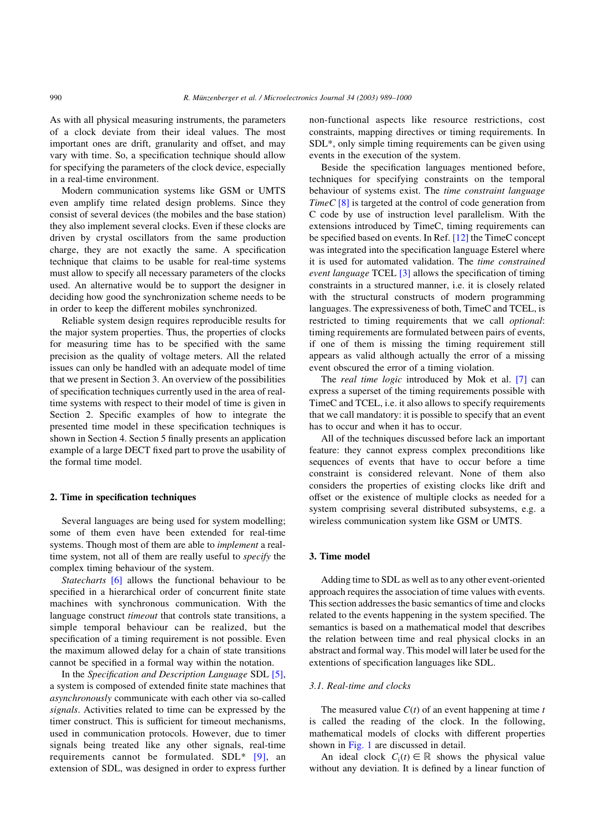As with all physical measuring instruments, the parameters of a clock deviate from their ideal values. The most important ones are drift, granularity and offset, and may vary with time. So, a specification technique should allow for specifying the parameters of the clock device, especially in a real-time environment.

Modern communication systems like GSM or UMTS even amplify time related design problems. Since they consist of several devices (the mobiles and the base station) they also implement several clocks. Even if these clocks are driven by crystal oscillators from the same production charge, they are not exactly the same. A specification technique that claims to be usable for real-time systems must allow to specify all necessary parameters of the clocks used. An alternative would be to support the designer in deciding how good the synchronization scheme needs to be in order to keep the different mobiles synchronized.

Reliable system design requires reproducible results for the major system properties. Thus, the properties of clocks for measuring time has to be specified with the same precision as the quality of voltage meters. All the related issues can only be handled with an adequate model of time that we present in Section 3. An overview of the possibilities of specification techniques currently used in the area of realtime systems with respect to their model of time is given in Section 2. Specific examples of how to integrate the presented time model in these specification techniques is shown in Section 4. Section 5 finally presents an application example of a large DECT fixed part to prove the usability of the formal time model.

#### 2. Time in specification techniques

Several languages are being used for system modelling; some of them even have been extended for real-time systems. Though most of them are able to *implement* a realtime system, not all of them are really useful to *specify* the complex timing behaviour of the system.

Statecharts [\[6\]](#page--1-0) allows the functional behaviour to be specified in a hierarchical order of concurrent finite state machines with synchronous communication. With the language construct *timeout* that controls state transitions, a simple temporal behaviour can be realized, but the specification of a timing requirement is not possible. Even the maximum allowed delay for a chain of state transitions cannot be specified in a formal way within the notation.

In the Specification and Description Language SDL [\[5\]](#page--1-0), a system is composed of extended finite state machines that asynchronously communicate with each other via so-called signals. Activities related to time can be expressed by the timer construct. This is sufficient for timeout mechanisms, used in communication protocols. However, due to timer signals being treated like any other signals, real-time requirements cannot be formulated. SDL\* [\[9\],](#page--1-0) an extension of SDL, was designed in order to express further non-functional aspects like resource restrictions, cost constraints, mapping directives or timing requirements. In SDL\*, only simple timing requirements can be given using events in the execution of the system.

Beside the specification languages mentioned before, techniques for specifying constraints on the temporal behaviour of systems exist. The time constraint language  $TimeC [8]$  $TimeC [8]$  is targeted at the control of code generation from C code by use of instruction level parallelism. With the extensions introduced by TimeC, timing requirements can be specified based on events. In Ref. [\[12\]](#page--1-0) the TimeC concept was integrated into the specification language Esterel where it is used for automated validation. The time constrained event language TCEL [\[3\]](#page--1-0) allows the specification of timing constraints in a structured manner, i.e. it is closely related with the structural constructs of modern programming languages. The expressiveness of both, TimeC and TCEL, is restricted to timing requirements that we call optional: timing requirements are formulated between pairs of events, if one of them is missing the timing requirement still appears as valid although actually the error of a missing event obscured the error of a timing violation.

The real time logic introduced by Mok et al. [\[7\]](#page--1-0) can express a superset of the timing requirements possible with TimeC and TCEL, i.e. it also allows to specify requirements that we call mandatory: it is possible to specify that an event has to occur and when it has to occur.

All of the techniques discussed before lack an important feature: they cannot express complex preconditions like sequences of events that have to occur before a time constraint is considered relevant. None of them also considers the properties of existing clocks like drift and offset or the existence of multiple clocks as needed for a system comprising several distributed subsystems, e.g. a wireless communication system like GSM or UMTS.

## 3. Time model

Adding time to SDL as well as to any other event-oriented approach requires the association of time values with events. This section addresses the basic semantics of time and clocks related to the events happening in the system specified. The semantics is based on a mathematical model that describes the relation between time and real physical clocks in an abstract and formal way. This model will later be used for the extentions of specification languages like SDL.

### 3.1. Real-time and clocks

The measured value  $C(t)$  of an event happening at time t is called the reading of the clock. In the following, mathematical models of clocks with different properties shown in [Fig. 1](#page--1-0) are discussed in detail.

An ideal clock  $C_i(t) \in \mathbb{R}$  shows the physical value without any deviation. It is defined by a linear function of